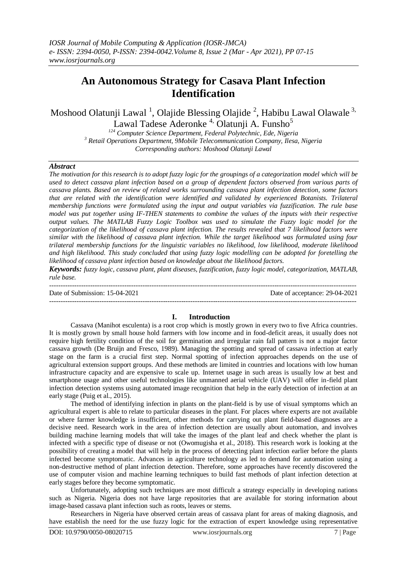# **An Autonomous Strategy for Casava Plant Infection Identification**

Moshood Olatunji Lawal<sup>1</sup>, Olajide Blessing Olajide<sup>2</sup>, Habibu Lawal Olawale<sup>3,</sup> Lawal Tadese Aderonke<sup>4</sup>, Olatunii A. Funsho<sup>5</sup>

*<sup>124</sup> Computer Science Department, Federal Polytechnic, Ede, Nigeria <sup>3</sup> Retail Operations Department, 9Mobile Telecommunication Company, Ilesa, Nigeria Corresponding authors: Moshood Olatunji Lawal*

#### *Abstract*

*The motivation for this research is to adopt fuzzy logic for the groupings of a categorization model which will be used to detect cassava plant infection based on a group of dependent factors observed from various parts of cassava plants. Based on review of related works surrounding cassava plant infection detection, some factors that are related with the identification were identified and validated by experienced Botanists. Trilateral membership functions were formulated using the input and output variables via fuzzification. The rule base model was put together using IF-THEN statements to combine the values of the inputs with their respective output values. The MATLAB Fuzzy Logic Toolbox was used to simulate the Fuzzy logic model for the categorization of the likelihood of cassava plant infection. The results revealed that 7 likelihood factors were similar with the likelihood of cassava plant infection. While the target likelihood was formulated using four trilateral membership functions for the linguistic variables no likelihood, low likelihood, moderate likelihood and high likelihood. This study concluded that using fuzzy logic modelling can be adopted for foretelling the likelihood of cassava plant infection based on knowledge about the likelihood factors.* 

*Keywords: fuzzy logic, cassava plant, plant diseases, fuzzification, fuzzy logic model, categorization, MATLAB, rule base.* 

--------------------------------------------------------------------------------------------------------------------------------------- Date of Submission: 15-04-2021 Date of acceptance: 29-04-2021 ---------------------------------------------------------------------------------------------------------------------------------------

#### **I. Introduction**

Cassava (Manihot esculenta) is a root crop which is mostly grown in every two to five Africa countries. It is mostly grown by small house hold farmers with low income and in food-deficit areas, it usually does not require high fertility condition of the soil for germination and irregular rain fall pattern is not a major factor cassava growth (De Bruijn and Fresco, 1989). Managing the spotting and spread of cassava infection at early stage on the farm is a crucial first step. Normal spotting of infection approaches depends on the use of agricultural extension support groups. And these methods are limited in countries and locations with low human infrastructure capacity and are expensive to scale up. Internet usage in such areas is usually low at best and smartphone usage and other useful technologies like unmanned aerial vehicle (UAV) will offer in-field plant infection detection systems using automated image recognition that help in the early detection of infection at an early stage (Puig et al., 2015).

The method of identifying infection in plants on the plant-field is by use of visual symptoms which an agricultural expert is able to relate to particular diseases in the plant. For places where experts are not available or where farmer knowledge is insufficient, other methods for carrying out plant field-based diagnoses are a decisive need. Research work in the area of infection detection are usually about automation, and involves building machine learning models that will take the images of the plant leaf and check whether the plant is infected with a specific type of disease or not (Owomugisha et al., 2018). This research work is looking at the possibility of creating a model that will help in the process of detecting plant infection earlier before the plants infected become symptomatic. Advances in agriculture technology as led to demand for automation using a non-destructive method of plant infection detection. Therefore, some approaches have recently discovered the use of computer vision and machine learning techniques to build fast methods of plant infection detection at early stages before they become symptomatic.

Unfortunately, adopting such techniques are most difficult a strategy especially in developing nations such as Nigeria. Nigeria does not have large repositories that are available for storing information about image-based cassava plant infection such as roots, leaves or stems.

Researchers in Nigeria have observed certain areas of cassava plant for areas of making diagnosis, and have establish the need for the use fuzzy logic for the extraction of expert knowledge using representative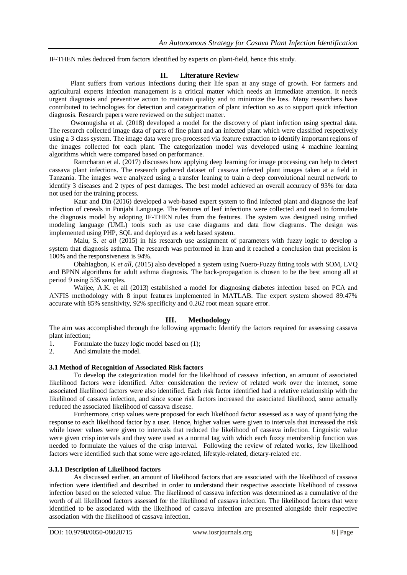IF-THEN rules deduced from factors identified by experts on plant-field, hence this study.

## **II. Literature Review**

Plant suffers from various infections during their life span at any stage of growth. For farmers and agricultural experts infection management is a critical matter which needs an immediate attention. It needs urgent diagnosis and preventive action to maintain quality and to minimize the loss. Many researchers have contributed to technologies for detection and categorization of plant infection so as to support quick infection diagnosis. Research papers were reviewed on the subject matter.

Owomugisha et al. (2018) developed a model for the discovery of plant infection using spectral data. The research collected image data of parts of fine plant and an infected plant which were classified respectively using a 3 class system. The image data were pre-processed via feature extraction to identify important regions of the images collected for each plant. The categorization model was developed using 4 machine learning algorithms which were compared based on performance.

Ramcharan et al. (2017) discusses how applying deep learning for image processing can help to detect cassava plant infections. The research gathered dataset of cassava infected plant images taken at a field in Tanzania. The images were analyzed using a transfer leaning to train a deep convolutional neural network to identify 3 diseases and 2 types of pest damages. The best model achieved an overall accuracy of 93% for data not used for the training process.

Kaur and Din (2016) developed a web-based expert system to find infected plant and diagnose the leaf infection of cereals in Punjabi Language. The features of leaf infections were collected and used to formulate the diagnosis model by adopting IF-THEN rules from the features. The system was designed using unified modeling language (UML) tools such as use case diagrams and data flow diagrams. The design was implemented using PHP, SQL and deployed as a web based system.

Malu, S. *et all* (2015) in his research use assignment of parameters with fuzzy logic to develop a system that diagnosis asthma. The research was performed in Iran and it reached a conclusion that precision is 100% and the responsiveness is 94%.

Obahiagbon, K *et all,* (2015) also developed a system using Nuero-Fuzzy fitting tools with SOM, LVQ and BPNN algorithms for adult asthma diagnosis. The back-propagation is chosen to be the best among all at period 9 using 535 samples.

Waijee, A.K. et all (2013) established a model for diagnosing diabetes infection based on PCA and ANFIS methodology with 8 input features implemented in MATLAB. The expert system showed 89.47% accurate with 85% sensitivity, 92% specificity and 0.262 root mean square error.

## **III. Methodology**

The aim was accomplished through the following approach: Identify the factors required for assessing cassava plant infection;

1. Formulate the fuzzy logic model based on (1);

2. And simulate the model.

#### **3.1 Method of Recognition of Associated Risk factors**

To develop the categorization model for the likelihood of cassava infection, an amount of associated likelihood factors were identified. After consideration the review of related work over the internet, some associated likelihood factors were also identified. Each risk factor identified had a relative relationship with the likelihood of cassava infection, and since some risk factors increased the associated likelihood, some actually reduced the associated likelihood of cassava disease.

Furthermore, crisp values were proposed for each likelihood factor assessed as a way of quantifying the response to each likelihood factor by a user. Hence, higher values were given to intervals that increased the risk while lower values were given to intervals that reduced the likelihood of cassava infection. Linguistic value were given crisp intervals and they were used as a normal tag with which each fuzzy membership function was needed to formulate the values of the crisp interval. Following the review of related works, few likelihood factors were identified such that some were age-related, lifestyle-related, dietary-related etc.

#### **3.1.1 Description of Likelihood factors**

As discussed earlier, an amount of likelihood factors that are associated with the likelihood of cassava infection were identified and described in order to understand their respective associate likelihood of cassava infection based on the selected value. The likelihood of cassava infection was determined as a cumulative of the worth of all likelihood factors assessed for the likelihood of cassava infection. The likelihood factors that were identified to be associated with the likelihood of cassava infection are presented alongside their respective association with the likelihood of cassava infection.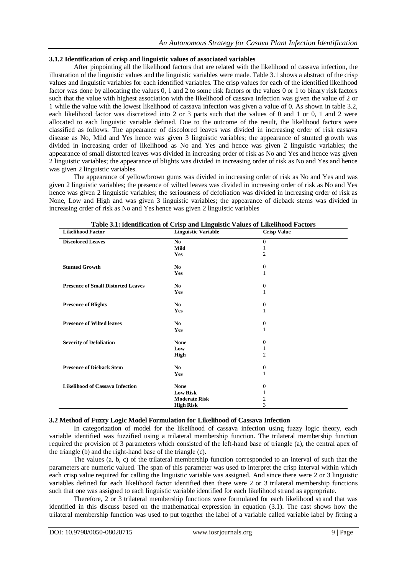## **3.1.2 Identification of crisp and linguistic values of associated variables**

After pinpointing all the likelihood factors that are related with the likelihood of cassava infection, the illustration of the linguistic values and the linguistic variables were made. Table 3.1 shows a abstract of the crisp values and linguistic variables for each identified variables. The crisp values for each of the identified likelihood factor was done by allocating the values 0, 1 and 2 to some risk factors or the values 0 or 1 to binary risk factors such that the value with highest association with the likelihood of cassava infection was given the value of 2 or 1 while the value with the lowest likelihood of cassava infection was given a value of 0. As shown in table 3.2, each likelihood factor was discretized into 2 or 3 parts such that the values of 0 and 1 or 0, 1 and 2 were allocated to each linguistic variable defined. Due to the outcome of the result, the likelihood factors were classified as follows. The appearance of discolored leaves was divided in increasing order of risk cassava disease as No, Mild and Yes hence was given 3 linguistic variables; the appearance of stunted growth was divided in increasing order of likelihood as No and Yes and hence was given 2 linguistic variables; the appearance of small distorted leaves was divided in increasing order of risk as No and Yes and hence was given 2 linguistic variables; the appearance of blights was divided in increasing order of risk as No and Yes and hence was given 2 linguistic variables.

The appearance of yellow/brown gums was divided in increasing order of risk as No and Yes and was given 2 linguistic variables; the presence of wilted leaves was divided in increasing order of risk as No and Yes hence was given 2 linguistic variables; the seriousness of defoliation was divided in increasing order of risk as None, Low and High and was given 3 linguistic variables; the appearance of dieback stems was divided in increasing order of risk as No and Yes hence was given 2 linguistic variables

| <b>Likelihood Factor</b>                  | Table 5.1. Remaintanton of Crisp and Emguistic values of Emeritional Pactors<br><b>Linguistic Variable</b> | <b>Crisp Value</b> |  |  |
|-------------------------------------------|------------------------------------------------------------------------------------------------------------|--------------------|--|--|
|                                           | No.                                                                                                        | $\Omega$           |  |  |
| <b>Discolored Leaves</b>                  | Mild                                                                                                       | 1                  |  |  |
|                                           | Yes                                                                                                        | 2                  |  |  |
|                                           |                                                                                                            |                    |  |  |
| <b>Stunted Growth</b>                     | N <sub>0</sub>                                                                                             | $\boldsymbol{0}$   |  |  |
|                                           | Yes                                                                                                        | 1                  |  |  |
|                                           |                                                                                                            |                    |  |  |
| <b>Presence of Small Distorted Leaves</b> | No                                                                                                         | $\boldsymbol{0}$   |  |  |
|                                           | Yes                                                                                                        | 1                  |  |  |
|                                           |                                                                                                            |                    |  |  |
| <b>Presence of Blights</b>                | No                                                                                                         | $\mathbf{0}$       |  |  |
|                                           | Yes                                                                                                        | 1                  |  |  |
|                                           |                                                                                                            |                    |  |  |
| <b>Presence of Wilted leaves</b>          | No.                                                                                                        | $\boldsymbol{0}$   |  |  |
|                                           | Yes                                                                                                        | 1                  |  |  |
| <b>Severity of Defoliation</b>            | <b>None</b>                                                                                                | $\overline{0}$     |  |  |
|                                           | Low                                                                                                        | 1                  |  |  |
|                                           | High                                                                                                       | $\overline{2}$     |  |  |
|                                           |                                                                                                            |                    |  |  |
| <b>Presence of Dieback Stem</b>           | No                                                                                                         | $\boldsymbol{0}$   |  |  |
|                                           | Yes                                                                                                        | 1                  |  |  |
|                                           |                                                                                                            |                    |  |  |
| <b>Likelihood of Cassava Infection</b>    | <b>None</b>                                                                                                | $\theta$           |  |  |
|                                           | <b>Low Risk</b>                                                                                            | 1                  |  |  |
|                                           | <b>Moderate Risk</b>                                                                                       | 2                  |  |  |
|                                           | <b>High Risk</b>                                                                                           | 3                  |  |  |

**Table 3.1: identification of Crisp and Linguistic Values of Likelihood Factors**

## **3.2 Method of Fuzzy Logic Model Formulation for Likelihood of Cassava Infection**

In categorization of model for the likelihood of cassava infection using fuzzy logic theory, each variable identified was fuzzified using a trilateral membership function. The trilateral membership function required the provision of 3 parameters which consisted of the left-hand base of triangle (a), the central apex of the triangle (b) and the right-hand base of the triangle (c).

The values (a, b, c) of the trilateral membership function corresponded to an interval of such that the parameters are numeric valued. The span of this parameter was used to interpret the crisp interval within which each crisp value required for calling the linguistic variable was assigned. And since there were 2 or 3 linguistic variables defined for each likelihood factor identified then there were 2 or 3 trilateral membership functions such that one was assigned to each linguistic variable identified for each likelihood strand as appropriate.

Therefore, 2 or 3 trilateral membership functions were formulated for each likelihood strand that was identified in this discuss based on the mathematical expression in equation (3.1). The cast shows how the trilateral membership function was used to put together the label of a variable called variable label by fitting a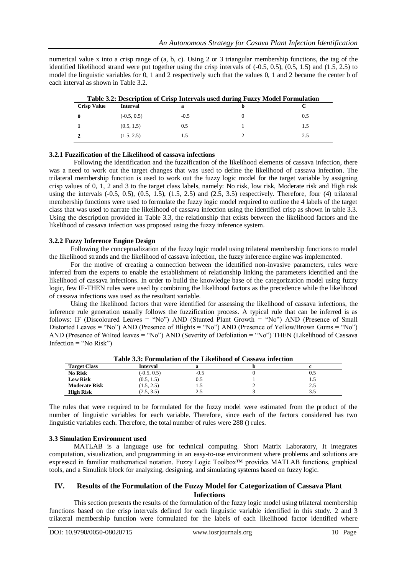numerical value x into a crisp range of (a, b, c). Using 2 or 3 triangular membership functions, the tag of the identified likelihood strand were put together using the crisp intervals of (-0.5, 0.5), (0.5, 1.5) and (1.5, 2.5) to model the linguistic variables for 0, 1 and 2 respectively such that the values 0, 1 and 2 became the center b of each interval as shown in Table 3.2.

| Table 3.2: Description of Crisp Intervals used during Fuzzy Model Formulation |                 |        |  |     |
|-------------------------------------------------------------------------------|-----------------|--------|--|-----|
| <b>Crisp Value</b>                                                            | <b>Interval</b> |        |  |     |
|                                                                               | $(-0.5, 0.5)$   | $-0.5$ |  |     |
|                                                                               | (0.5, 1.5)      | 0.5    |  |     |
|                                                                               | (1.5, 2.5)      |        |  | 2.5 |

| Table 3.2: Description of Crisp Intervals used during Fuzzy Model Formulation |  |
|-------------------------------------------------------------------------------|--|
|-------------------------------------------------------------------------------|--|

## **3.2.1 Fuzzification of the Likelihood of cassava infections**

Following the identification and the fuzzification of the likelihood elements of cassava infection, there was a need to work out the target changes that was used to define the likelihood of cassava infection. The trilateral membership function is used to work out the fuzzy logic model for the target variable by assigning crisp values of 0, 1, 2 and 3 to the target class labels, namely: No risk, low risk, Moderate risk and High risk using the intervals  $(-0.5, 0.5)$ ,  $(0.5, 1.5)$ ,  $(1.5, 2.5)$  and  $(2.5, 3.5)$  respectively. Therefore, four  $(4)$  trilateral membership functions were used to formulate the fuzzy logic model required to outline the 4 labels of the target class that was used to narrate the likelihood of cassava infection using the identified crisp as shown in table 3.3. Using the description provided in Table 3.3, the relationship that exists between the likelihood factors and the likelihood of cassava infection was proposed using the fuzzy inference system.

## **3.2.2 Fuzzy Inference Engine Design**

Following the conceptualization of the fuzzy logic model using trilateral membership functions to model the likelihood strands and the likelihood of cassava infection, the fuzzy inference engine was implemented.

For the motive of creating a connection between the identified non-invasive parameters, rules were inferred from the experts to enable the establishment of relationship linking the parameters identified and the likelihood of cassava infections. In order to build the knowledge base of the categorization model using fuzzy logic, few IF-THEN rules were used by combining the likelihood factors as the precedence while the likelihood of cassava infections was used as the resultant variable.

Using the likelihood factors that were identified for assessing the likelihood of cassava infections, the inference rule generation usually follows the fuzzification process. A typical rule that can be inferred is as follows: IF (Discoloured Leaves = "No") AND (Stunted Plant Growth = "No") AND (Presence of Small Distorted Leaves = "No") AND (Presence of Blights = "No") AND (Presence of Yellow/Brown Gums = "No") AND (Presence of Wilted leaves = "No") AND (Severity of Defoliation = "No") THEN (Likelihood of Cassava Infection  $=$  "No Risk")

|                      | Table 5.5. Formulation of the Einenhood of Cassava intection |        |     |
|----------------------|--------------------------------------------------------------|--------|-----|
| <b>Target Class</b>  | Interval                                                     |        |     |
| <b>No Risk</b>       | $(-0.5, 0.5)$                                                | $-0.5$ |     |
| <b>Low Risk</b>      | (0.5, 1.5)                                                   | 0.5    |     |
| <b>Moderate Risk</b> | (1.5, 2.5)                                                   | 1.0    | 2.5 |
| <b>High Risk</b>     | (2.5, 3.5)                                                   |        |     |

**Table 3.3: Formulation of the Likelihood of Cassava infection**

The rules that were required to be formulated for the fuzzy model were estimated from the product of the number of linguistic variables for each variable. Therefore, since each of the factors considered has two linguistic variables each. Therefore, the total number of rules were 288 () rules.

## **3.3 Simulation Environment used**

MATLAB is a language use for technical computing. Short Matrix Laboratory, It integrates computation, visualization, and programming in an easy-to-use environment where problems and solutions are expressed in familiar mathematical notation. Fuzzy Logic Toolbox™ provides MATLAB functions, graphical tools, and a Simulink block for analyzing, designing, and simulating systems based on fuzzy logic.

## **IV. Results of the Formulation of the Fuzzy Model for Categorization of Cassava Plant Infections**

This section presents the results of the formulation of the fuzzy logic model using trilateral membership functions based on the crisp intervals defined for each linguistic variable identified in this study. 2 and 3 trilateral membership function were formulated for the labels of each likelihood factor identified where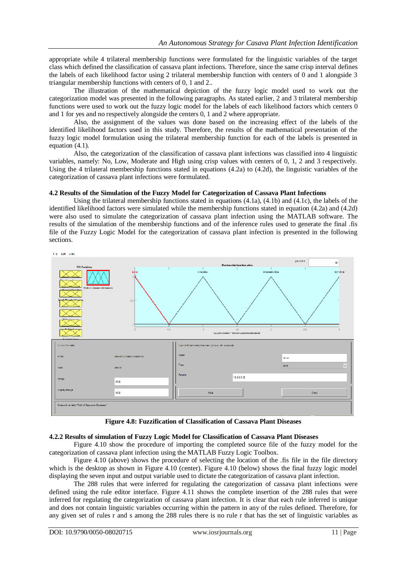appropriate while 4 trilateral membership functions were formulated for the linguistic variables of the target class which defined the classification of cassava plant infections. Therefore, since the same crisp interval defines the labels of each likelihood factor using 2 trilateral membership function with centers of 0 and 1 alongside 3 triangular membership functions with centers of 0, 1 and 2..

The illustration of the mathematical depiction of the fuzzy logic model used to work out the categorization model was presented in the following paragraphs. As stated earlier, 2 and 3 trilateral membership functions were used to work out the fuzzy logic model for the labels of each likelihood factors which centers 0 and 1 for yes and no respectively alongside the centers 0, 1 and 2 where appropriate.

Also, the assignment of the values was done based on the increasing effect of the labels of the identified likelihood factors used in this study. Therefore, the results of the mathematical presentation of the fuzzy logic model formulation using the trilateral membership function for each of the labels is presented in equation (4.1).

Also, the categorization of the classification of cassava plant infections was classified into 4 linguistic variables, namely: No, Low, Moderate and High using crisp values with centers of 0, 1, 2 and 3 respectively. Using the 4 trilateral membership functions stated in equations (4.2a) to (4.2d), the linguistic variables of the categorization of cassava plant infections were formulated.

#### **4.2 Results of the Simulation of the Fuzzy Model for Categorization of Cassava Plant Infections**

Using the trilateral membership functions stated in equations (4.1a), (4.1b) and (4.1c), the labels of the identified likelihood factors were simulated while the membership functions stated in equation (4.2a) and (4.2d) were also used to simulate the categorization of cassava plant infection using the MATLAB software. The results of the simulation of the membership functions and of the inference rules used to generate the final .fis file of the Fuzzy Logic Model for the categorization of cassava plant infection is presented in the following sections.



**Figure 4.8: Fuzzification of Classification of Cassava Plant Diseases**

#### **4.2.2 Results of simulation of Fuzzy Logic Model for Classification of Cassava Plant Diseases**

Figure 4.10 show the procedure of importing the completed source file of the fuzzy model for the categorization of cassava plant infection using the MATLAB Fuzzy Logic Toolbox.

Figure 4.10 (above) shows the procedure of selecting the location of the .fis file in the file directory which is the desktop as shown in Figure 4.10 (center). Figure 4.10 (below) shows the final fuzzy logic model displaying the seven input and output variable used to dictate the categorization of cassava plant infection.

The 288 rules that were inferred for regulating the categorization of cassava plant infections were defined using the rule editor interface. Figure 4.11 shows the complete insertion of the 288 rules that were inferred for regulating the categorization of cassava plant infection. It is clear that each rule inferred is unique and does not contain linguistic variables occurring within the pattern in any of the rules defined. Therefore, for any given set of rules r and s among the 288 rules there is no rule r that has the set of linguistic variables as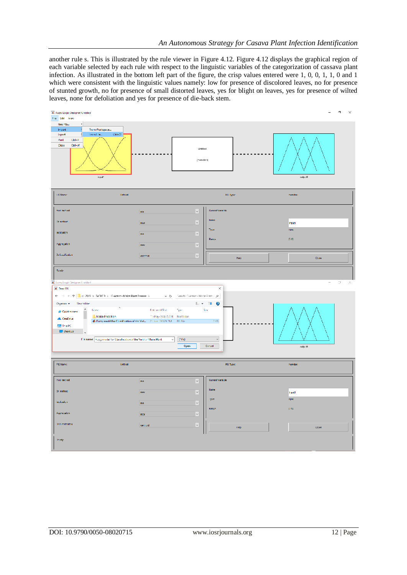another rule s. This is illustrated by the rule viewer in Figure 4.12. Figure 4.12 displays the graphical region of each variable selected by each rule with respect to the linguistic variables of the categorization of cassava plant infection. As illustrated in the bottom left part of the figure, the crisp values entered were 1, 0, 0, 1, 1, 0 and 1 which were consistent with the linguistic values namely: low for presence of discolored leaves, no for presence of stunted growth, no for presence of small distorted leaves, yes for blight on leaves, yes for presence of wilted leaves, none for defoliation and yes for presence of die-back stem.

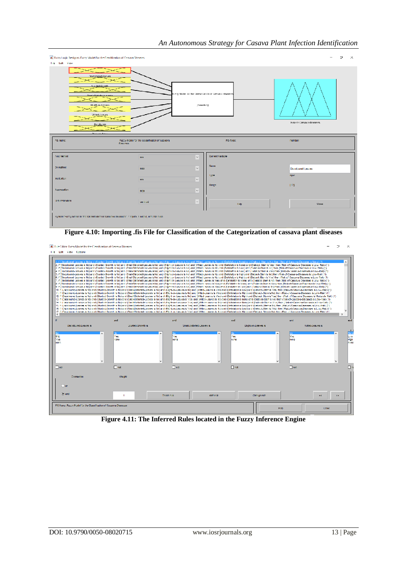| A Tuzzy Logic Designer: Euzzy Model for the Classification of Cassava Diseases                                                                                                                                                                             |                                                                                                  |                                | $\Rightarrow$<br>- 8<br>- |  |  |  |  |
|------------------------------------------------------------------------------------------------------------------------------------------------------------------------------------------------------------------------------------------------------------|--------------------------------------------------------------------------------------------------|--------------------------------|---------------------------|--|--|--|--|
| Tile Ldit View<br>Discriminad-Lacves<br>Sunted-Goveth<br>Fuzzy Model for the Classification of Cassava Diseases<br>Small-Historier Lie avec<br>Blight-on-Leaves<br>(mamdeni)<br><b>PRIVATE Librarion</b><br><b>Hisk-co-Cassava-Hiseases</b><br>Deridistion |                                                                                                  |                                |                           |  |  |  |  |
| FIS Name:                                                                                                                                                                                                                                                  | Fuzzy Model for the Classification of Cassava<br>Diacuaca                                        | FIS Type:                      | mamdani                   |  |  |  |  |
| And method.                                                                                                                                                                                                                                                | mn                                                                                               | Current Varisble<br>$\backsim$ |                           |  |  |  |  |
| Or mathod                                                                                                                                                                                                                                                  | max                                                                                              | Name<br>v                      | Discoloured Leaves        |  |  |  |  |
| Implication                                                                                                                                                                                                                                                | min                                                                                              | Type<br>$\mathbf{v}$           | input.                    |  |  |  |  |
| Agorecation                                                                                                                                                                                                                                                | max                                                                                              | Range<br>$\vert \vee \vert$    | 10.21                     |  |  |  |  |
| Debuzzibeaban                                                                                                                                                                                                                                              | controld                                                                                         | $\omega$<br><b>Help</b>        | Close                     |  |  |  |  |
|                                                                                                                                                                                                                                                            | System "Fuzzy Model for the Closarborton of Cossovo Discosos" / Inputs, 1 output, and 288 rules. |                                |                           |  |  |  |  |

**Figure 4.10: Importing .fis File for Classification of the Categorization of cassava plant diseases**



**Figure 4.11: The Inferred Rules located in the Fuzzy Inference Engine**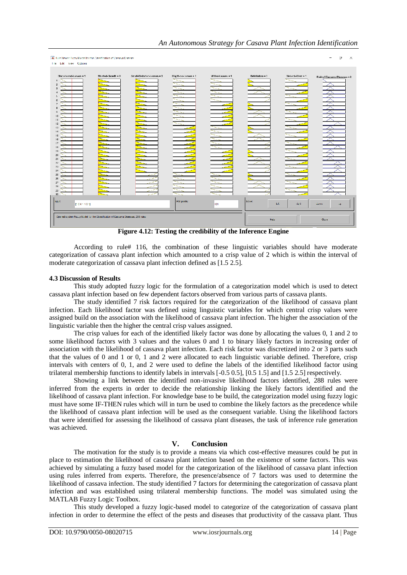|                                                                                                                                                                                                         |                      |                            |                                                  |                           |                       |                  | Þ<br>×<br>—                            |
|---------------------------------------------------------------------------------------------------------------------------------------------------------------------------------------------------------|----------------------|----------------------------|--------------------------------------------------|---------------------------|-----------------------|------------------|----------------------------------------|
| Rule Viewer, Fuzzy Model for the Classification of Cassava Diseases<br>Tile Edit View Options<br>Discoloured-Leaves = 1<br>$\left  \right $<br>10<br>11<br>12<br>13<br>14<br>15<br>16<br>17<br>18<br>19 | $Stumted-Growth = 0$ | Small-Distorted-Leaves = 0 | Blight-on-Leaves = 1<br>≂<br>₹<br>$\sim$<br>Sec. | William-Leaves = 1<br>سما | Detailation $= 0$     | Dieback-Stem = 1 | Risk-of-Cassava-Diseases = 2<br>∼<br>↗ |
| 20<br>21<br>22<br>73<br>24<br>25<br>26<br>27<br>78<br>29<br>30<br>Input:<br>0001101                                                                                                                     |                      |                            | Plot points:                                     | 101                       | <b>Move:</b><br>left. | richt            | down<br>up.                            |
| Opened system Fuzzy Model for the Classification of Cassava Diseases, 288 rules                                                                                                                         |                      |                            |                                                  |                           | Help                  |                  | Close                                  |

**Figure 4.12: Testing the credibility of the Inference Engine**

According to rule# 116, the combination of these linguistic variables should have moderate categorization of cassava plant infection which amounted to a crisp value of 2 which is within the interval of moderate categorization of cassava plant infection defined as [1.5 2.5].

#### **4.3 Discussion of Results**

This study adopted fuzzy logic for the formulation of a categorization model which is used to detect cassava plant infection based on few dependent factors observed from various parts of cassava plants.

The study identified 7 risk factors required for the categorization of the likelihood of cassava plant infection. Each likelihood factor was defined using linguistic variables for which central crisp values were assigned build on the association with the likelihood of cassava plant infection. The higher the association of the linguistic variable then the higher the central crisp values assigned.

The crisp values for each of the identified likely factor was done by allocating the values 0, 1 and 2 to some likelihood factors with 3 values and the values 0 and 1 to binary likely factors in increasing order of association with the likelihood of cassava plant infection. Each risk factor was discretized into 2 or 3 parts such that the values of 0 and 1 or 0, 1 and 2 were allocated to each linguistic variable defined. Therefore, crisp intervals with centers of 0, 1, and 2 were used to define the labels of the identified likelihood factor using trilateral membership functions to identify labels in intervals [-0.5 0.5], [0.5 1.5] and [1.5 2.5] respectively.

Showing a link between the identified non-invasive likelihood factors identified, 288 rules were inferred from the experts in order to decide the relationship linking the likely factors identified and the likelihood of cassava plant infection. For knowledge base to be build, the categorization model using fuzzy logic must have some IF-THEN rules which will in turn be used to combine the likely factors as the precedence while the likelihood of cassava plant infection will be used as the consequent variable. Using the likelihood factors that were identified for assessing the likelihood of cassava plant diseases, the task of inference rule generation was achieved.

## **V. Conclusion**

The motivation for the study is to provide a means via which cost-effective measures could be put in place to estimation the likelihood of cassava plant infection based on the existence of some factors. This was achieved by simulating a fuzzy based model for the categorization of the likelihood of cassava plant infection using rules inferred from experts. Therefore, the presence/absence of 7 factors was used to determine the likelihood of cassava infection. The study identified 7 factors for determining the categorization of cassava plant infection and was established using trilateral membership functions. The model was simulated using the MATLAB Fuzzy Logic Toolbox.

This study developed a fuzzy logic-based model to categorize of the categorization of cassava plant infection in order to determine the effect of the pests and diseases that productivity of the cassava plant. Thus